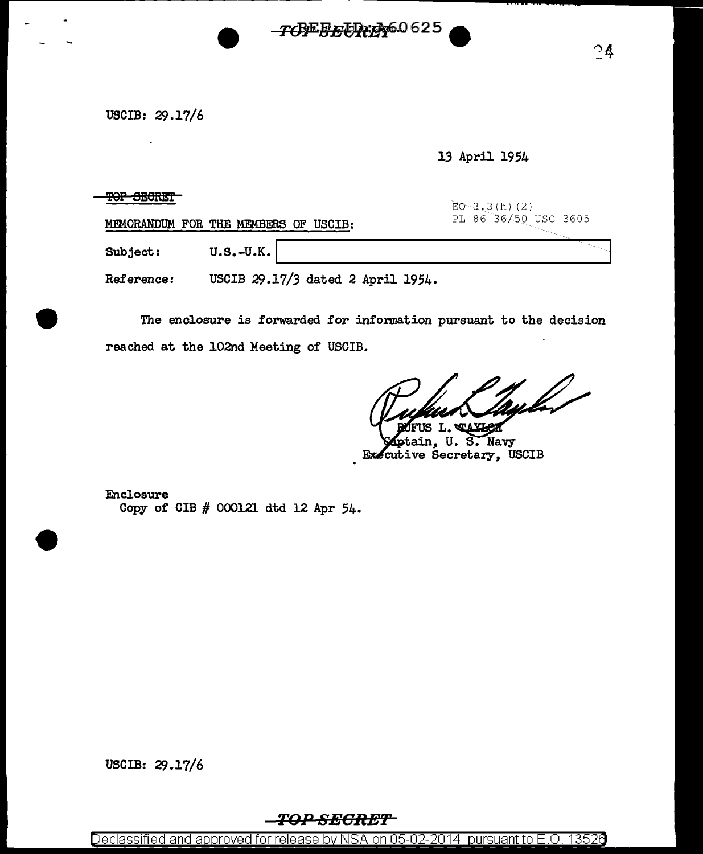USCIB: 29.17/6

13 April 1954

TOP SECRET

EO 3, 3(h) (2)<br>PL 86-36/50 USC 3605

MEMORANDUM FOR THE MEMBERS OF USCIB:

Subject: U.S.-U.K.

Reference: USCIB 29.17/3 dated 2 April 1954.

The enclosure is forwarded for information pursuant to the decision reached at the 102nd Meeting of USCIB.

*TCREEXTD:A46.*0625

S T.

,<br>ptain, U. S. Navy Executive Secretary, USCIB

Enclosure Copy of CIB # 000121 dtd 12 Apr 54.

USCIB: 29.17/6

## TOP SECRET

Declassified and approved for release by NSA on 05-02-2014 pursuant to E.O. 13526